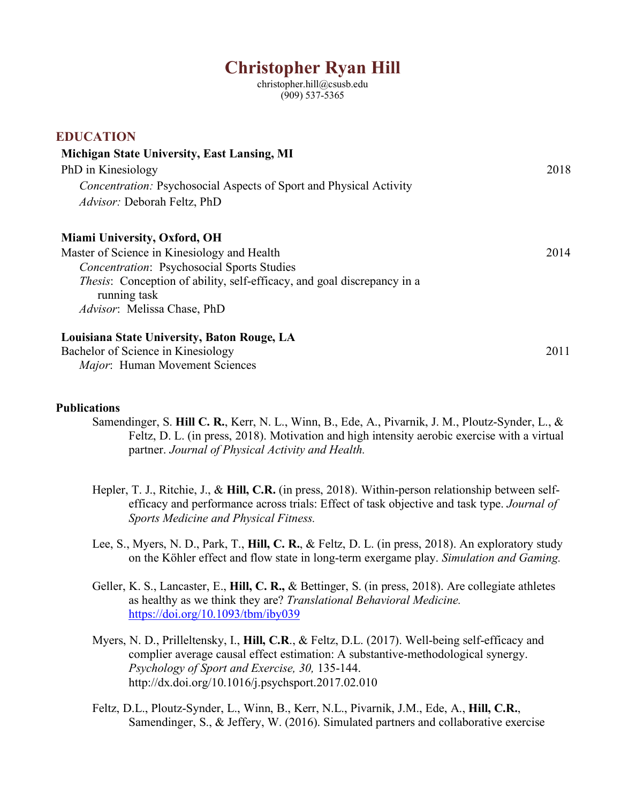# **Christopher Ryan Hill**

christopher.hill@csusb.edu  $(909)$  537-5365

| <b>EDUCATION</b>                                                                               |      |
|------------------------------------------------------------------------------------------------|------|
| <b>Michigan State University, East Lansing, MI</b>                                             |      |
| PhD in Kinesiology                                                                             | 2018 |
| <i>Concentration:</i> Psychosocial Aspects of Sport and Physical Activity                      |      |
| <i>Advisor:</i> Deborah Feltz, PhD                                                             |      |
| Miami University, Oxford, OH                                                                   |      |
| Master of Science in Kinesiology and Health                                                    | 2014 |
| <i>Concentration:</i> Psychosocial Sports Studies                                              |      |
| <i>Thesis:</i> Conception of ability, self-efficacy, and goal discrepancy in a<br>running task |      |
| Advisor: Melissa Chase, PhD                                                                    |      |
| Louisiana State University, Baton Rouge, LA                                                    |      |
| Bachelor of Science in Kinesiology                                                             | 2011 |
| Major: Human Movement Sciences                                                                 |      |

#### **Publications**

- Samendinger, S. **Hill C. R.**, Kerr, N. L., Winn, B., Ede, A., Pivarnik, J. M., Ploutz-Synder, L., & Feltz, D. L. (in press, 2018). Motivation and high intensity aerobic exercise with a virtual partner. *Journal of Physical Activity and Health.*
- Hepler, T. J., Ritchie, J., & **Hill, C.R.** (in press, 2018). Within-person relationship between selfefficacy and performance across trials: Effect of task objective and task type. *Journal of Sports Medicine and Physical Fitness.*
- Lee, S., Myers, N. D., Park, T., **Hill, C. R.**, & Feltz, D. L. (in press, 2018). An exploratory study on the Köhler effect and flow state in long-term exergame play. *Simulation and Gaming.*
- Geller, K. S., Lancaster, E., **Hill, C. R.,** & Bettinger, S. (in press, 2018). Are collegiate athletes as healthy as we think they are? *Translational Behavioral Medicine.*  https://doi.org/10.1093/tbm/iby039
- Myers, N. D., Prilleltensky, I., **Hill, C.R**., & Feltz, D.L. (2017). Well-being self-efficacy and complier average causal effect estimation: A substantive-methodological synergy. *Psychology of Sport and Exercise, 30,* 135-144. http://dx.doi.org/10.1016/j.psychsport.2017.02.010
- Feltz, D.L., Ploutz-Synder, L., Winn, B., Kerr, N.L., Pivarnik, J.M., Ede, A., **Hill, C.R.**, Samendinger, S., & Jeffery, W. (2016). Simulated partners and collaborative exercise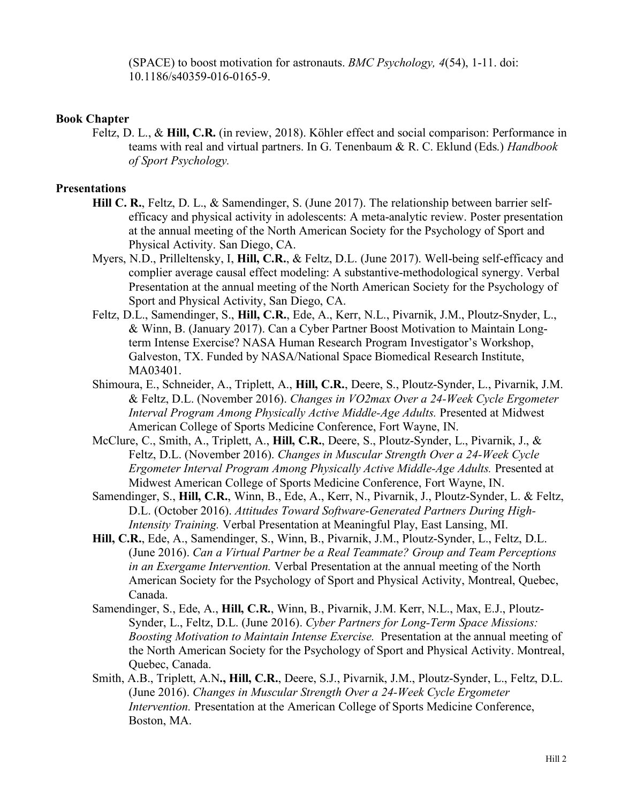(SPACE) to boost motivation for astronauts. *BMC Psychology, 4*(54), 1-11. doi: 10.1186/s40359-016-0165-9.

#### **Book Chapter**

Feltz, D. L., & **Hill, C.R.** (in review, 2018). Köhler effect and social comparison: Performance in teams with real and virtual partners. In G. Tenenbaum & R. C. Eklund (Eds.) *Handbook of Sport Psychology.* 

#### **Presentations**

- **Hill C. R.**, Feltz, D. L., & Samendinger, S. (June 2017). The relationship between barrier selfefficacy and physical activity in adolescents: A meta-analytic review. Poster presentation at the annual meeting of the North American Society for the Psychology of Sport and Physical Activity. San Diego, CA.
- Myers, N.D., Prilleltensky, I, **Hill, C.R.**, & Feltz, D.L. (June 2017). Well-being self-efficacy and complier average causal effect modeling: A substantive-methodological synergy. Verbal Presentation at the annual meeting of the North American Society for the Psychology of Sport and Physical Activity, San Diego, CA.
- Feltz, D.L., Samendinger, S., **Hill, C.R.**, Ede, A., Kerr, N.L., Pivarnik, J.M., Ploutz-Snyder, L., & Winn, B. (January 2017). Can a Cyber Partner Boost Motivation to Maintain Longterm Intense Exercise? NASA Human Research Program Investigator's Workshop, Galveston, TX. Funded by NASA/National Space Biomedical Research Institute, MA03401.
- Shimoura, E., Schneider, A., Triplett, A., **Hill, C.R.**, Deere, S., Ploutz-Synder, L., Pivarnik, J.M. & Feltz, D.L. (November 2016). *Changes in VO2max Over a 24-Week Cycle Ergometer Interval Program Among Physically Active Middle-Age Adults.* Presented at Midwest American College of Sports Medicine Conference, Fort Wayne, IN.
- McClure, C., Smith, A., Triplett, A., **Hill, C.R.**, Deere, S., Ploutz-Synder, L., Pivarnik, J., & Feltz, D.L. (November 2016). *Changes in Muscular Strength Over a 24-Week Cycle Ergometer Interval Program Among Physically Active Middle-Age Adults.* Presented at Midwest American College of Sports Medicine Conference, Fort Wayne, IN.
- Samendinger, S., **Hill, C.R.**, Winn, B., Ede, A., Kerr, N., Pivarnik, J., Ploutz-Synder, L. & Feltz, D.L. (October 2016). *Attitudes Toward Software-Generated Partners During High-Intensity Training.* Verbal Presentation at Meaningful Play, East Lansing, MI.
- **Hill, C.R.**, Ede, A., Samendinger, S., Winn, B., Pivarnik, J.M., Ploutz-Synder, L., Feltz, D.L. (June 2016). *Can a Virtual Partner be a Real Teammate? Group and Team Perceptions in an Exergame Intervention.* Verbal Presentation at the annual meeting of the North American Society for the Psychology of Sport and Physical Activity, Montreal, Quebec, Canada.
- Samendinger, S., Ede, A., **Hill, C.R.**, Winn, B., Pivarnik, J.M. Kerr, N.L., Max, E.J., Ploutz-Synder, L., Feltz, D.L. (June 2016). *Cyber Partners for Long-Term Space Missions: Boosting Motivation to Maintain Intense Exercise.* Presentation at the annual meeting of the North American Society for the Psychology of Sport and Physical Activity. Montreal, Quebec, Canada.
- Smith, A.B., Triplett, A.N**., Hill, C.R.**, Deere, S.J., Pivarnik, J.M., Ploutz-Synder, L., Feltz, D.L. (June 2016). *Changes in Muscular Strength Over a 24-Week Cycle Ergometer Intervention.* Presentation at the American College of Sports Medicine Conference, Boston, MA.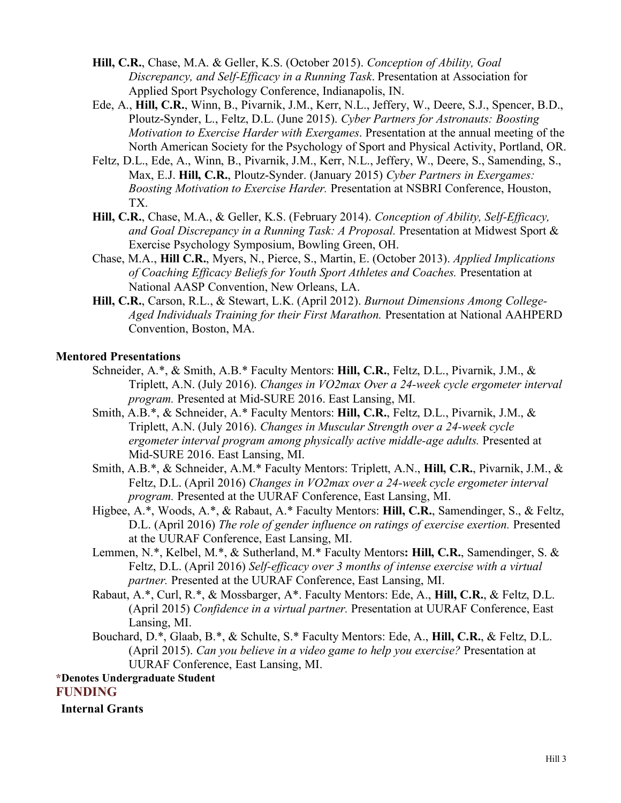- **Hill, C.R.**, Chase, M.A. & Geller, K.S. (October 2015). *Conception of Ability, Goal Discrepancy, and Self-Efficacy in a Running Task*. Presentation at Association for Applied Sport Psychology Conference, Indianapolis, IN.
- Ede, A., **Hill, C.R.**, Winn, B., Pivarnik, J.M., Kerr, N.L., Jeffery, W., Deere, S.J., Spencer, B.D., Ploutz-Synder, L., Feltz, D.L. (June 2015). *Cyber Partners for Astronauts: Boosting Motivation to Exercise Harder with Exergames*. Presentation at the annual meeting of the North American Society for the Psychology of Sport and Physical Activity, Portland, OR.
- Feltz, D.L., Ede, A., Winn, B., Pivarnik, J.M., Kerr, N.L., Jeffery, W., Deere, S., Samending, S., Max, E.J. **Hill, C.R.**, Ploutz-Synder. (January 2015) *Cyber Partners in Exergames: Boosting Motivation to Exercise Harder.* Presentation at NSBRI Conference, Houston, TX.
- **Hill, C.R.**, Chase, M.A., & Geller, K.S. (February 2014). *Conception of Ability, Self-Efficacy, and Goal Discrepancy in a Running Task: A Proposal.* Presentation at Midwest Sport & Exercise Psychology Symposium, Bowling Green, OH.
- Chase, M.A., **Hill C.R.**, Myers, N., Pierce, S., Martin, E. (October 2013). *Applied Implications of Coaching Efficacy Beliefs for Youth Sport Athletes and Coaches.* Presentation at National AASP Convention, New Orleans, LA.
- **Hill, C.R.**, Carson, R.L., & Stewart, L.K. (April 2012). *Burnout Dimensions Among College-Aged Individuals Training for their First Marathon.* Presentation at National AAHPERD Convention, Boston, MA.

### **Mentored Presentations**

- Schneider, A.\*, & Smith, A.B.\* Faculty Mentors: **Hill, C.R.**, Feltz, D.L., Pivarnik, J.M., & Triplett, A.N. (July 2016). *Changes in VO2max Over a 24-week cycle ergometer interval program.* Presented at Mid-SURE 2016. East Lansing, MI.
- Smith, A.B.\*, & Schneider, A.\* Faculty Mentors: **Hill, C.R.**, Feltz, D.L., Pivarnik, J.M., & Triplett, A.N. (July 2016). *Changes in Muscular Strength over a 24-week cycle ergometer interval program among physically active middle-age adults.* Presented at Mid-SURE 2016. East Lansing, MI.
- Smith, A.B.\*, & Schneider, A.M.\* Faculty Mentors: Triplett, A.N., **Hill, C.R.**, Pivarnik, J.M., & Feltz, D.L. (April 2016) *Changes in VO2max over a 24-week cycle ergometer interval program.* Presented at the UURAF Conference, East Lansing, MI.
- Higbee, A.\*, Woods, A.\*, & Rabaut, A.\* Faculty Mentors: **Hill, C.R.**, Samendinger, S., & Feltz, D.L. (April 2016) *The role of gender influence on ratings of exercise exertion*. Presented at the UURAF Conference, East Lansing, MI.
- Lemmen, N.\*, Kelbel, M.\*, & Sutherland, M.\* Faculty Mentors**: Hill, C.R.**, Samendinger, S. & Feltz, D.L. (April 2016) *Self-efficacy over 3 months of intense exercise with a virtual partner.* Presented at the UURAF Conference, East Lansing, MI.
- Rabaut, A.\*, Curl, R.\*, & Mossbarger, A\*. Faculty Mentors: Ede, A., **Hill, C.R.**, & Feltz, D.L. (April 2015) *Confidence in a virtual partner.* Presentation at UURAF Conference, East Lansing, MI.
- Bouchard, D.\*, Glaab, B.\*, & Schulte, S.\* Faculty Mentors: Ede, A., **Hill, C.R.**, & Feltz, D.L. (April 2015). *Can you believe in a video game to help you exercise?* Presentation at UURAF Conference, East Lansing, MI.

## **\*Denotes Undergraduate Student**

## **FUNDING**

#### **Internal Grants**